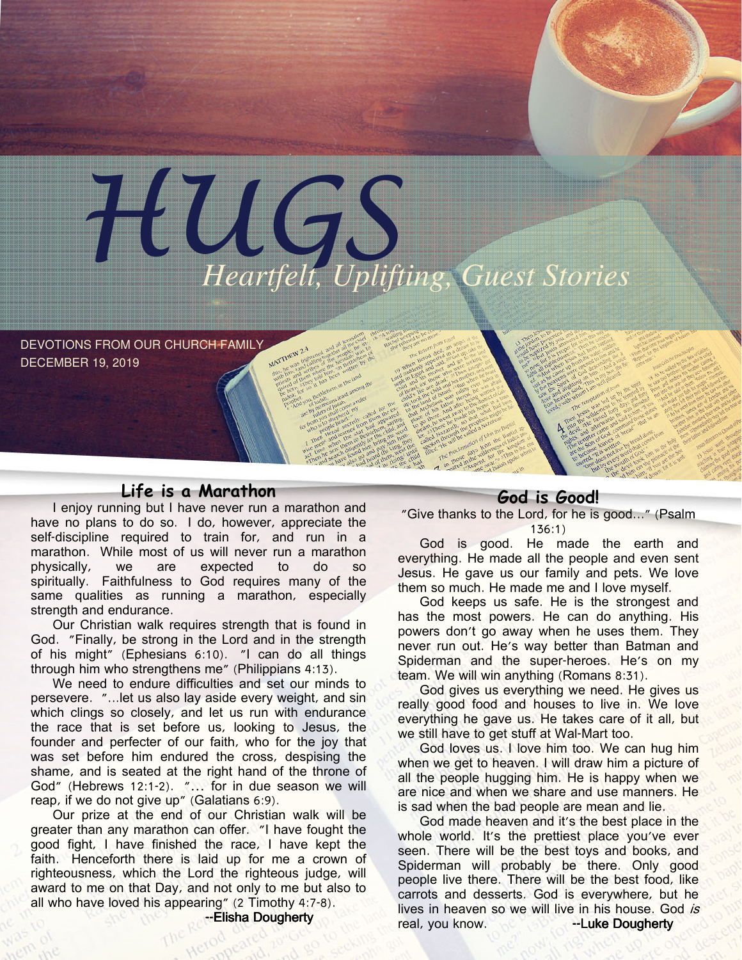

DEVOTIONS FROM OUR CHURCH FAMILY DECEMBER 19, 2019

## Life is a Marathon

I enjoy running but I have never run a marathon and have no plans to do so. I do, however, appreciate the self-discipline required to train for, and run in a marathon. While most of us will never run a marathon physically, we are expected to do so spiritually. Faithfulness to God requires many of the same qualities as running a marathon, especially strength and endurance.

Our Christian walk requires strength that is found in God. "Finally, be strong in the Lord and in the strength of his might" (Ephesians 6:10). "I can do all things through him who strengthens me" (Philippians 4:13).

We need to endure difficulties and set our minds to persevere. "...let us also lay aside every weight, and sin which clings so closely, and let us run with endurance the race that is set before us, looking to Jesus, the founder and perfecter of our faith, who for the joy that was set before him endured the cross, despising the shame, and is seated at the right hand of the throne of God" (Hebrews 12:1-2). "… for in due season we will reap, if we do not give up" (Galatians 6:9).

Our prize at the end of our Christian walk will be greater than any marathon can offer. "I have fought the good fight, I have finished the race, I have kept the faith. Henceforth there is laid up for me a crown of righteousness, which the Lord the righteous judge, will award to me on that Day, and not only to me but also to all who have loved his appearing" (2 Timothy 4:7-8). --Elisha Dougherty

### God is Good!

"Give thanks to the Lord, for he is good..." (Psalm 136:1)

God is good. He made the earth and everything. He made all the people and even sent Jesus. He gave us our family and pets. We love them so much. He made me and I love myself.

God keeps us safe. He is the strongest and has the most powers. He can do anything. His powers don't go away when he uses them. They never run out. He's way better than Batman and Spiderman and the super-heroes. He's on my team. We will win anything (Romans 8:31).

God gives us everything we need. He gives us really good food and houses to live in. We love everything he gave us. He takes care of it all, but we still have to get stuff at Wal-Mart too.

God loves us. I love him too. We can hug him when we get to heaven. I will draw him a picture of all the people hugging him. He is happy when we are nice and when we share and use manners. He is sad when the bad people are mean and lie.

God made heaven and it's the best place in the whole world. It's the prettiest place you've ever seen. There will be the best toys and books, and Spiderman will probably be there. Only good people live there. There will be the best food, like carrots and desserts. God is everywhere, but he lives in heaven so we will live in his house. God is real, you know. --LukeDougherty